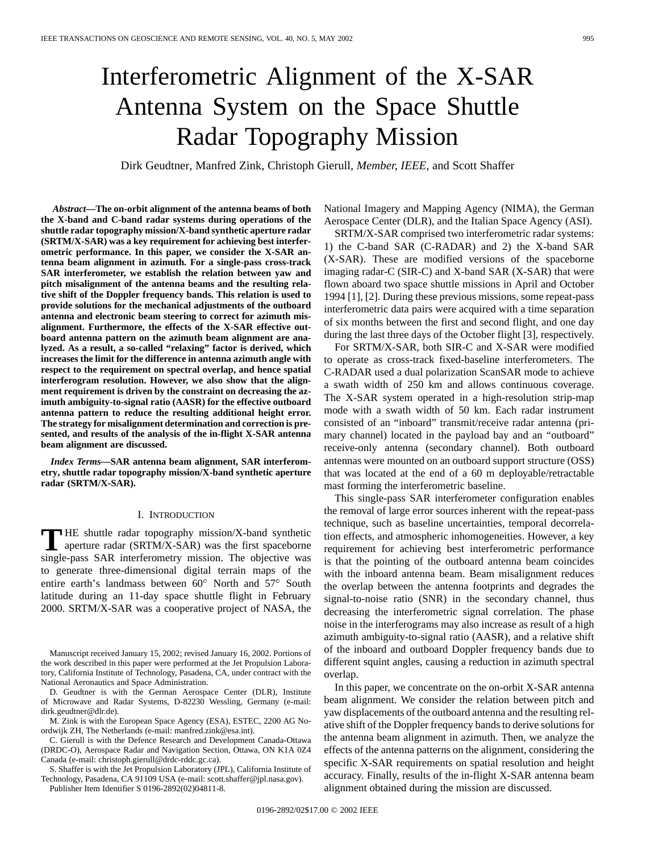# Interferometric Alignment of the X-SAR Antenna System on the Space Shuttle Radar Topography Mission

Dirk Geudtner, Manfred Zink, Christoph Gierull*, Member, IEEE*, and Scott Shaffer

*Abstract—***The on-orbit alignment of the antenna beams of both the X-band and C-band radar systems during operations of the shuttle radar topography mission/X-band synthetic aperture radar (SRTM/X-SAR) was a key requirement for achieving best interferometric performance. In this paper, we consider the X-SAR antenna beam alignment in azimuth. For a single-pass cross-track SAR interferometer, we establish the relation between yaw and pitch misalignment of the antenna beams and the resulting relative shift of the Doppler frequency bands. This relation is used to provide solutions for the mechanical adjustments of the outboard antenna and electronic beam steering to correct for azimuth misalignment. Furthermore, the effects of the X-SAR effective outboard antenna pattern on the azimuth beam alignment are analyzed. As a result, a so-called "relaxing" factor is derived, which increases the limit for the difference in antenna azimuth angle with respect to the requirement on spectral overlap, and hence spatial interferogram resolution. However, we also show that the alignment requirement is driven by the constraint on decreasing the azimuth ambiguity-to-signal ratio (AASR) for the effective outboard antenna pattern to reduce the resulting additional height error. The strategy for misalignment determination and correction is presented, and results of the analysis of the in-flight X-SAR antenna beam alignment are discussed.**

*Index Terms—***SAR antenna beam alignment, SAR interferometry, shuttle radar topography mission/X-band synthetic aperture radar (SRTM/X-SAR).**

## I. INTRODUCTION

**T** HE shuttle radar topography mission/X-band synthetic<br>aperture radar (SRTM/X-SAR) was the first spaceborne<br>single ness SAB interferemetry mission. The objective west single-pass SAR interferometry mission. The objective was to generate three-dimensional digital terrain maps of the entire earth's landmass between 60° North and 57° South latitude during an 11-day space shuttle flight in February 2000. SRTM/X-SAR was a cooperative project of NASA, the

M. Zink is with the European Space Agency (ESA), ESTEC, 2200 AG Noordwijk ZH, The Netherlands (e-mail: manfred.zink@esa.int).

C. Gierull is with the Defence Research and Development Canada-Ottawa (DRDC-O), Aerospace Radar and Navigation Section, Ottawa, ON K1A 0Z4 Canada (e-mail: christoph.gierull@drdc-rddc.gc.ca).

S. Shaffer is with the Jet Propulsion Laboratory (JPL), California Institute of Technology, Pasadena, CA 91109 USA (e-mail: scott.shaffer@jpl.nasa.gov).

Publisher Item Identifier S 0196-2892(02)04811-8.

National Imagery and Mapping Agency (NIMA), the German Aerospace Center (DLR), and the Italian Space Agency (ASI).

SRTM/X-SAR comprised two interferometric radar systems: 1) the C-band SAR (C-RADAR) and 2) the X-band SAR (X-SAR). These are modified versions of the spaceborne imaging radar-C (SIR-C) and X-band SAR (X-SAR) that were flown aboard two space shuttle missions in April and October 1994 [1], [2]. During these previous missions, some repeat-pass interferometric data pairs were acquired with a time separation of six months between the first and second flight, and one day during the last three days of the October flight [3], respectively.

For SRTM/X-SAR, both SIR-C and X-SAR were modified to operate as cross-track fixed-baseline interferometers. The C-RADAR used a dual polarization ScanSAR mode to achieve a swath width of 250 km and allows continuous coverage. The X-SAR system operated in a high-resolution strip-map mode with a swath width of 50 km. Each radar instrument consisted of an "inboard" transmit/receive radar antenna (primary channel) located in the payload bay and an "outboard" receive-only antenna (secondary channel). Both outboard antennas were mounted on an outboard support structure (OSS) that was located at the end of a 60 m deployable/retractable mast forming the interferometric baseline.

This single-pass SAR interferometer configuration enables the removal of large error sources inherent with the repeat-pass technique, such as baseline uncertainties, temporal decorrelation effects, and atmospheric inhomogeneities. However, a key requirement for achieving best interferometric performance is that the pointing of the outboard antenna beam coincides with the inboard antenna beam. Beam misalignment reduces the overlap between the antenna footprints and degrades the signal-to-noise ratio (SNR) in the secondary channel, thus decreasing the interferometric signal correlation. The phase noise in the interferograms may also increase as result of a high azimuth ambiguity-to-signal ratio (AASR), and a relative shift of the inboard and outboard Doppler frequency bands due to different squint angles, causing a reduction in azimuth spectral overlap.

In this paper, we concentrate on the on-orbit X-SAR antenna beam alignment. We consider the relation between pitch and yaw displacements of the outboard antenna and the resulting relative shift of the Doppler frequency bands to derive solutions for the antenna beam alignment in azimuth. Then, we analyze the effects of the antenna patterns on the alignment, considering the specific X-SAR requirements on spatial resolution and height accuracy. Finally, results of the in-flight X-SAR antenna beam alignment obtained during the mission are discussed.

Manuscript received January 15, 2002; revised January 16, 2002. Portions of the work described in this paper were performed at the Jet Propulsion Laboratory, California Institute of Technology, Pasadena, CA, under contract with the National Aeronautics and Space Administration.

D. Geudtner is with the German Aerospace Center (DLR), Institute of Microwave and Radar Systems, D-82230 Wessling, Germany (e-mail: dirk.geudtner@dlr.de).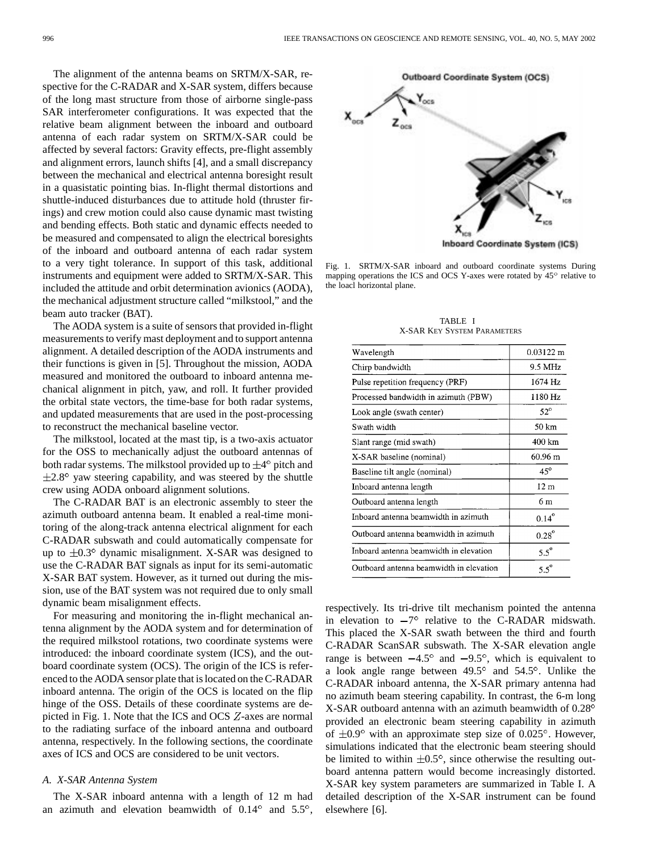The alignment of the antenna beams on SRTM/X-SAR, respective for the C-RADAR and X-SAR system, differs because of the long mast structure from those of airborne single-pass SAR interferometer configurations. It was expected that the relative beam alignment between the inboard and outboard antenna of each radar system on SRTM/X-SAR could be affected by several factors: Gravity effects, pre-flight assembly and alignment errors, launch shifts [4], and a small discrepancy between the mechanical and electrical antenna boresight result in a quasistatic pointing bias. In-flight thermal distortions and shuttle-induced disturbances due to attitude hold (thruster firings) and crew motion could also cause dynamic mast twisting and bending effects. Both static and dynamic effects needed to be measured and compensated to align the electrical boresights of the inboard and outboard antenna of each radar system to a very tight tolerance. In support of this task, additional instruments and equipment were added to SRTM/X-SAR. This included the attitude and orbit determination avionics (AODA), the mechanical adjustment structure called "milkstool," and the beam auto tracker (BAT).

The AODA system is a suite of sensors that provided in-flight measurements to verify mast deployment and to support antenna alignment. A detailed description of the AODA instruments and their functions is given in [5]. Throughout the mission, AODA measured and monitored the outboard to inboard antenna mechanical alignment in pitch, yaw, and roll. It further provided the orbital state vectors, the time-base for both radar systems, and updated measurements that are used in the post-processing to reconstruct the mechanical baseline vector.

The milkstool, located at the mast tip, is a two-axis actuator for the OSS to mechanically adjust the outboard antennas of both radar systems. The milkstool provided up to  $\pm 4^{\circ}$  pitch and  $\pm$ 2.8 $\degree$  yaw steering capability, and was steered by the shuttle crew using AODA onboard alignment solutions.

The C-RADAR BAT is an electronic assembly to steer the azimuth outboard antenna beam. It enabled a real-time monitoring of the along-track antenna electrical alignment for each C-RADAR subswath and could automatically compensate for up to  $\pm 0.3^\circ$  dynamic misalignment. X-SAR was designed to use the C-RADAR BAT signals as input for its semi-automatic X-SAR BAT system. However, as it turned out during the mission, use of the BAT system was not required due to only small dynamic beam misalignment effects.

For measuring and monitoring the in-flight mechanical antenna alignment by the AODA system and for determination of the required milkstool rotations, two coordinate systems were introduced: the inboard coordinate system (ICS), and the outboard coordinate system (OCS). The origin of the ICS is referenced to the AODA sensor plate that is located on the C-RADAR inboard antenna. The origin of the OCS is located on the flip hinge of the OSS. Details of these coordinate systems are depicted in Fig. 1. Note that the ICS and OCS  $Z$ -axes are normal to the radiating surface of the inboard antenna and outboard antenna, respectively. In the following sections, the coordinate axes of ICS and OCS are considered to be unit vectors.

#### *A. X-SAR Antenna System*

The X-SAR inboard antenna with a length of 12 m had an azimuth and elevation beamwidth of  $0.14^\circ$  and  $5.5^\circ$ ,



Inboard Coordinate System (ICS)

Fig. 1. SRTM/X-SAR inboard and outboard coordinate systems During mapping operations the ICS and OCS Y-axes were rotated by  $45^{\circ}$  relative to the loacl horizontal plane.

TABLE I X-SAR KEY SYSTEM PARAMETERS

| Wavelength                              | $0.03122 \text{ m}$ |
|-----------------------------------------|---------------------|
| Chirp bandwidth                         | 9.5 MHz             |
| Pulse repetition frequency (PRF)        | 1674 Hz             |
| Processed bandwidth in azimuth (PBW)    | 1180 Hz             |
| Look angle (swath center)               | $52^{\circ}$        |
| Swath width                             | $50 \text{ km}$     |
| Slant range (mid swath)                 | 400 km              |
| X-SAR baseline (nominal)                | $60.96 \text{ m}$   |
| Baseline tilt angle (nominal)           | $45^\circ$          |
| Inboard antenna length                  | 12 <sub>m</sub>     |
| Outboard antenna length                 | 6 m                 |
| Inboard antenna beamwidth in azimuth    | $0.14^\circ$        |
| Outboard antenna beamwidth in azimuth   | $0.28^\circ$        |
| Inboard antenna beamwidth in elevation  | $5.5^\circ$         |
| Outboard antenna beamwidth in elevation | $5.5^\circ$         |

respectively. Its tri-drive tilt mechanism pointed the antenna in elevation to  $-7^{\circ}$  relative to the C-RADAR midswath. This placed the X-SAR swath between the third and fourth C-RADAR ScanSAR subswath. The X-SAR elevation angle range is between  $-4.5^{\circ}$  and  $-9.5^{\circ}$ , which is equivalent to a look angle range between  $49.5^\circ$  and  $54.5^\circ$ . Unlike the C-RADAR inboard antenna, the X-SAR primary antenna had no azimuth beam steering capability. In contrast, the 6-m long X-SAR outboard antenna with an azimuth beamwidth of 0.28 provided an electronic beam steering capability in azimuth of  $\pm 0.9^\circ$  with an approximate step size of 0.025°. However, simulations indicated that the electronic beam steering should be limited to within  $\pm 0.5^\circ$ , since otherwise the resulting outboard antenna pattern would become increasingly distorted. X-SAR key system parameters are summarized in Table I. A detailed description of the X-SAR instrument can be found elsewhere [6].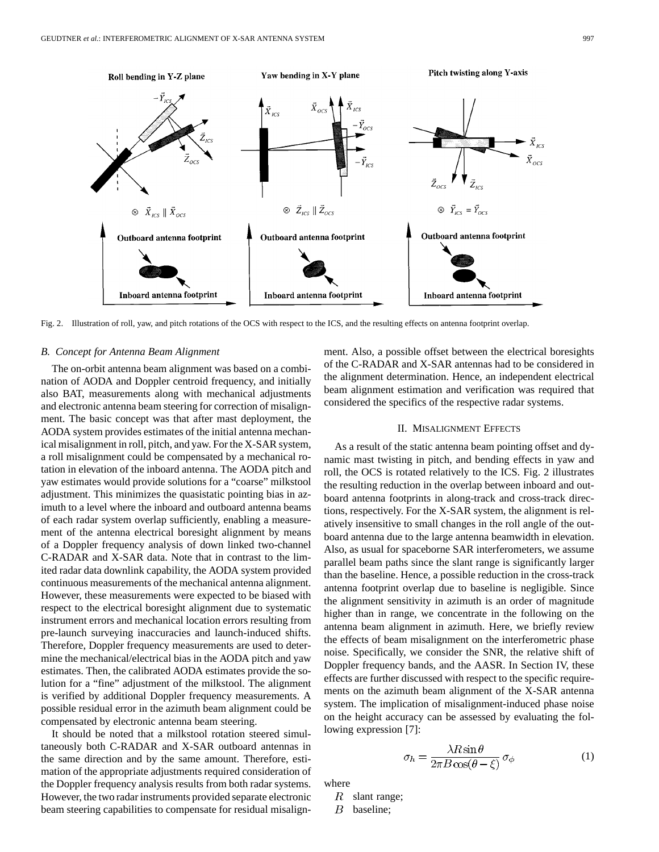

Fig. 2. Illustration of roll, yaw, and pitch rotations of the OCS with respect to the ICS, and the resulting effects on antenna footprint overlap.

#### *B. Concept for Antenna Beam Alignment*

The on-orbit antenna beam alignment was based on a combination of AODA and Doppler centroid frequency, and initially also BAT, measurements along with mechanical adjustments and electronic antenna beam steering for correction of misalignment. The basic concept was that after mast deployment, the AODA system provides estimates of the initial antenna mechanical misalignment in roll, pitch, and yaw. For the X-SAR system, a roll misalignment could be compensated by a mechanical rotation in elevation of the inboard antenna. The AODA pitch and yaw estimates would provide solutions for a "coarse" milkstool adjustment. This minimizes the quasistatic pointing bias in azimuth to a level where the inboard and outboard antenna beams of each radar system overlap sufficiently, enabling a measurement of the antenna electrical boresight alignment by means of a Doppler frequency analysis of down linked two-channel C-RADAR and X-SAR data. Note that in contrast to the limited radar data downlink capability, the AODA system provided continuous measurements of the mechanical antenna alignment. However, these measurements were expected to be biased with respect to the electrical boresight alignment due to systematic instrument errors and mechanical location errors resulting from pre-launch surveying inaccuracies and launch-induced shifts. Therefore, Doppler frequency measurements are used to determine the mechanical/electrical bias in the AODA pitch and yaw estimates. Then, the calibrated AODA estimates provide the solution for a "fine" adjustment of the milkstool. The alignment is verified by additional Doppler frequency measurements. A possible residual error in the azimuth beam alignment could be compensated by electronic antenna beam steering.

It should be noted that a milkstool rotation steered simultaneously both C-RADAR and X-SAR outboard antennas in the same direction and by the same amount. Therefore, estimation of the appropriate adjustments required consideration of the Doppler frequency analysis results from both radar systems. However, the two radar instruments provided separate electronic beam steering capabilities to compensate for residual misalignment. Also, a possible offset between the electrical boresights of the C-RADAR and X-SAR antennas had to be considered in the alignment determination. Hence, an independent electrical beam alignment estimation and verification was required that considered the specifics of the respective radar systems.

#### II. MISALIGNMENT EFFECTS

As a result of the static antenna beam pointing offset and dynamic mast twisting in pitch, and bending effects in yaw and roll, the OCS is rotated relatively to the ICS. Fig. 2 illustrates the resulting reduction in the overlap between inboard and outboard antenna footprints in along-track and cross-track directions, respectively. For the X-SAR system, the alignment is relatively insensitive to small changes in the roll angle of the outboard antenna due to the large antenna beamwidth in elevation. Also, as usual for spaceborne SAR interferometers, we assume parallel beam paths since the slant range is significantly larger than the baseline. Hence, a possible reduction in the cross-track antenna footprint overlap due to baseline is negligible. Since the alignment sensitivity in azimuth is an order of magnitude higher than in range, we concentrate in the following on the antenna beam alignment in azimuth. Here, we briefly review the effects of beam misalignment on the interferometric phase noise. Specifically, we consider the SNR, the relative shift of Doppler frequency bands, and the AASR. In Section IV, these effects are further discussed with respect to the specific requirements on the azimuth beam alignment of the X-SAR antenna system. The implication of misalignment-induced phase noise on the height accuracy can be assessed by evaluating the following expression [7]:

$$
\sigma_h = \frac{\lambda R \sin \theta}{2\pi B \cos(\theta - \xi)} \sigma_\phi \tag{1}
$$

where

- $R$  slant range;
- $B_{-}$ baseline;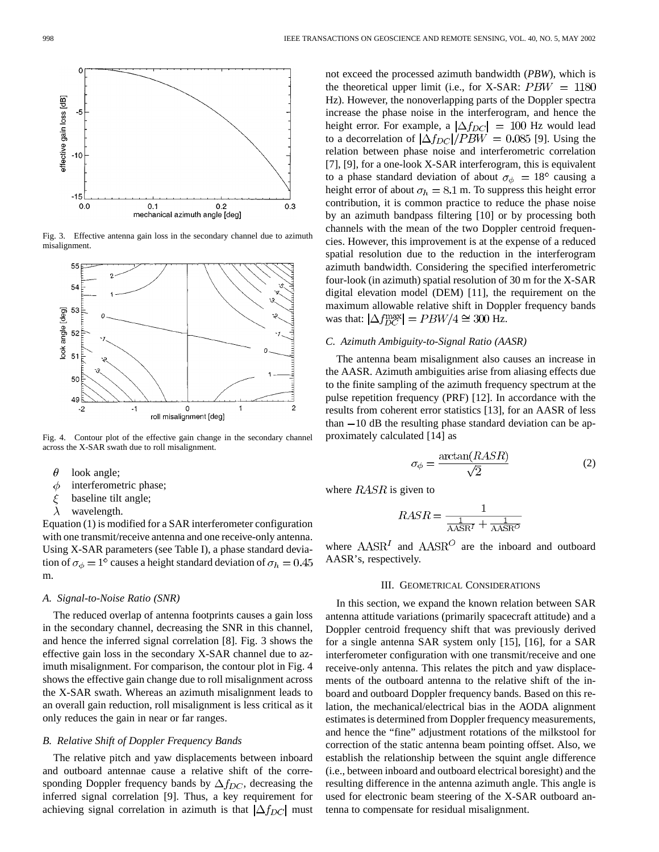

Fig. 3. Effective antenna gain loss in the secondary channel due to azimuth misalignment.



Fig. 4. Contour plot of the effective gain change in the secondary channel across the X-SAR swath due to roll misalignment.

- $\theta$ look angle;
- interferometric phase;  $\phi$
- ξ baseline tilt angle;
- $\lambda$ wavelength.

Equation (1) is modified for a SAR interferometer configuration with one transmit/receive antenna and one receive-only antenna. Using X-SAR parameters (see Table I), a phase standard deviation of  $\sigma_{\phi} = 1^{\circ}$  causes a height standard deviation of  $\sigma_h = 0.45$ m.

### *A. Signal-to-Noise Ratio (SNR)*

The reduced overlap of antenna footprints causes a gain loss in the secondary channel, decreasing the SNR in this channel, and hence the inferred signal correlation [8]. Fig. 3 shows the effective gain loss in the secondary X-SAR channel due to azimuth misalignment. For comparison, the contour plot in Fig. 4 shows the effective gain change due to roll misalignment across the X-SAR swath. Whereas an azimuth misalignment leads to an overall gain reduction, roll misalignment is less critical as it only reduces the gain in near or far ranges.

## *B. Relative Shift of Doppler Frequency Bands*

The relative pitch and yaw displacements between inboard and outboard antennae cause a relative shift of the corresponding Doppler frequency bands by  $\Delta f_{DC}$ , decreasing the inferred signal correlation [9]. Thus, a key requirement for achieving signal correlation in azimuth is that  $|\Delta f_{DC}|$  must

not exceed the processed azimuth bandwidth (*PBW*), which is the theoretical upper limit (i.e., for X-SAR:  $PBW = 1180$ Hz). However, the nonoverlapping parts of the Doppler spectra increase the phase noise in the interferogram, and hence the height error. For example, a  $|\Delta f_{DC}| = 100$  Hz would lead to a decorrelation of  $\left|\Delta f_{DC}\right|/PBW = 0.085$  [9]. Using the relation between phase noise and interferometric correlation [7], [9], for a one-look X-SAR interferogram, this is equivalent to a phase standard deviation of about  $\sigma_{\phi} = 18^{\circ}$  causing a height error of about  $\sigma_h = 8.1$  m. To suppress this height error contribution, it is common practice to reduce the phase noise by an azimuth bandpass filtering [10] or by processing both channels with the mean of the two Doppler centroid frequencies. However, this improvement is at the expense of a reduced spatial resolution due to the reduction in the interferogram azimuth bandwidth. Considering the specified interferometric four-look (in azimuth) spatial resolution of 30 m for the X-SAR digital elevation model (DEM) [11], the requirement on the maximum allowable relative shift in Doppler frequency bands was that:  $|\Delta f_{DC}^{\max}| = PBW/4 \cong 300$  Hz.

## *C. Azimuth Ambiguity-to-Signal Ratio (AASR)*

The antenna beam misalignment also causes an increase in the AASR. Azimuth ambiguities arise from aliasing effects due to the finite sampling of the azimuth frequency spectrum at the pulse repetition frequency (PRF) [12]. In accordance with the results from coherent error statistics [13], for an AASR of less than  $-10$  dB the resulting phase standard deviation can be approximately calculated [14] as

$$
\sigma_{\phi} = \frac{\arctan(RASR)}{\sqrt{2}}\tag{2}
$$

where  $RASR$  is given to

$$
RASR = \frac{1}{\frac{1}{\text{AASR}^I} + \frac{1}{\text{AASR}^\mathcal{O}}}
$$

where  $AASR<sup>I</sup>$  and  $AASR<sup>O</sup>$  are the inboard and outboard AASR's, respectively.

## III. GEOMETRICAL CONSIDERATIONS

In this section, we expand the known relation between SAR antenna attitude variations (primarily spacecraft attitude) and a Doppler centroid frequency shift that was previously derived for a single antenna SAR system only [15], [16], for a SAR interferometer configuration with one transmit/receive and one receive-only antenna. This relates the pitch and yaw displacements of the outboard antenna to the relative shift of the inboard and outboard Doppler frequency bands. Based on this relation, the mechanical/electrical bias in the AODA alignment estimates is determined from Doppler frequency measurements, and hence the "fine" adjustment rotations of the milkstool for correction of the static antenna beam pointing offset. Also, we establish the relationship between the squint angle difference (i.e., between inboard and outboard electrical boresight) and the resulting difference in the antenna azimuth angle. This angle is used for electronic beam steering of the X-SAR outboard antenna to compensate for residual misalignment.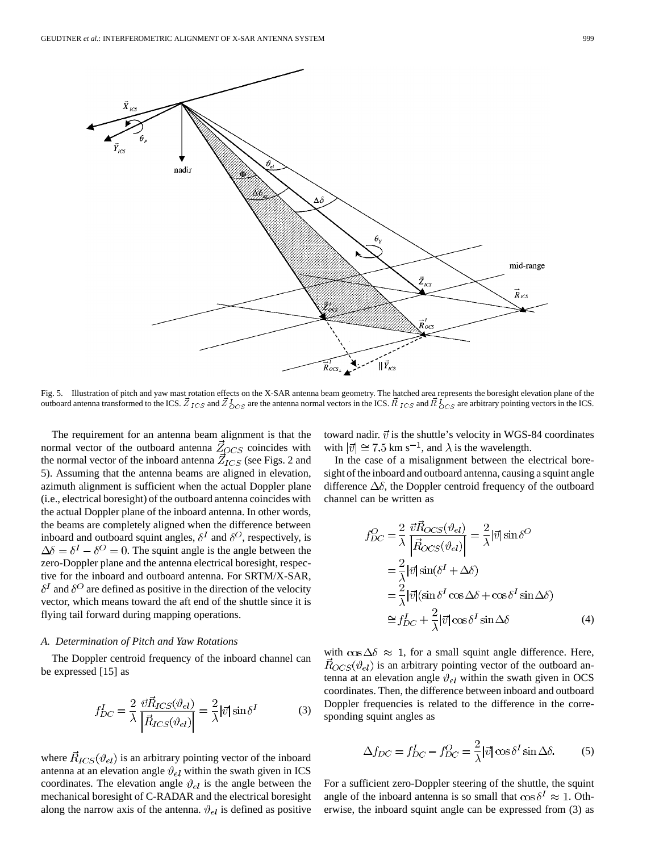

Fig. 5. Illustration of pitch and yaw mast rotation effects on the X-SAR antenna beam geometry. The hatched area represents the boresight elevation plane of the outboard antenna transformed to the ICS.  $\vec{Z}_{ICS}$  and  $\vec{Z}_{OCS}^I$  are the antenna normal vectors in the ICS.  $\vec{R}_{ICS}$  and  $\vec{R}_{OCS}^I$  are arbitrary pointing vectors in the ICS.

The requirement for an antenna beam alignment is that the normal vector of the outboard antenna  $Z_{OCS}$  coincides with the normal vector of the inboard antenna  $Z_{ICS}$  (see Figs. 2 and 5). Assuming that the antenna beams are aligned in elevation, azimuth alignment is sufficient when the actual Doppler plane (i.e., electrical boresight) of the outboard antenna coincides with the actual Doppler plane of the inboard antenna. In other words, the beams are completely aligned when the difference between inboard and outboard squint angles,  $\delta^I$  and  $\delta^O$ , respectively, is  $\Delta \delta = \delta^I - \delta^O = 0.$  The squint angle is the angle between the zero-Doppler plane and the antenna electrical boresight, respective for the inboard and outboard antenna. For SRTM/X-SAR,  $\delta^I$  and  $\delta^O$  are defined as positive in the direction of the velocity vector, which means toward the aft end of the shuttle since it is flying tail forward during mapping operations.

#### *A. Determination of Pitch and Yaw Rotations*

The Doppler centroid frequency of the inboard channel can be expressed [15] as

$$
f_{DC}^{I} = \frac{2}{\lambda} \frac{\vec{v} \vec{R}_{ICS}(\vartheta_{el})}{\left| \vec{R}_{ICS}(\vartheta_{el}) \right|} = \frac{2}{\lambda} |\vec{v}| \sin \delta^{I}
$$
(3)

where  $\vec{R}_{ICS}(\vartheta_{el})$  is an arbitrary pointing vector of the inboard antenna at an elevation angle  $\vartheta_{el}$  within the swath given in ICS coordinates. The elevation angle  $\vartheta_{el}$  is the angle between the mechanical boresight of C-RADAR and the electrical boresight along the narrow axis of the antenna.  $\vartheta_{el}$  is defined as positive toward nadir.  $\vec{v}$  is the shuttle's velocity in WGS-84 coordinates with  $|\vec{v}| \approx 7.5$  km s<sup>-1</sup>, and  $\lambda$  is the wavelength.

In the case of a misalignment between the electrical boresight of the inboard and outboard antenna, causing a squint angle difference  $\Delta \delta$ , the Doppler centroid frequency of the outboard channel can be written as

$$
f_{DC}^{O} = \frac{2}{\lambda} \frac{\partial R_{OCS}(\vartheta_{el})}{|\vec{R}_{OCS}(\vartheta_{el})|} = \frac{2}{\lambda} |\vec{v}| \sin \delta^{O}
$$
  

$$
= \frac{2}{\lambda} |\vec{v}| \sin(\delta^{I} + \Delta \delta)
$$
  

$$
= \frac{2}{\lambda} |\vec{v}| (\sin \delta^{I} \cos \Delta \delta + \cos \delta^{I} \sin \Delta \delta)
$$
  

$$
\approx f_{DC}^{I} + \frac{2}{\lambda} |\vec{v}| \cos \delta^{I} \sin \Delta \delta
$$
 (4)

with  $\cos \Delta \delta \approx 1$ , for a small squint angle difference. Here,  $\vec{R}_{OCS}(\vartheta_{el})$  is an arbitrary pointing vector of the outboard antenna at an elevation angle  $\vartheta_{el}$  within the swath given in OCS coordinates. Then, the difference between inboard and outboard Doppler frequencies is related to the difference in the corresponding squint angles as

$$
\Delta f_{DC} = f_{DC}^I - f_{DC}^O = \frac{2}{\lambda} |\vec{v}| \cos \delta^I \sin \Delta \delta. \tag{5}
$$

For a sufficient zero-Doppler steering of the shuttle, the squint angle of the inboard antenna is so small that  $\cos \delta^I \approx 1$ . Otherwise, the inboard squint angle can be expressed from (3) as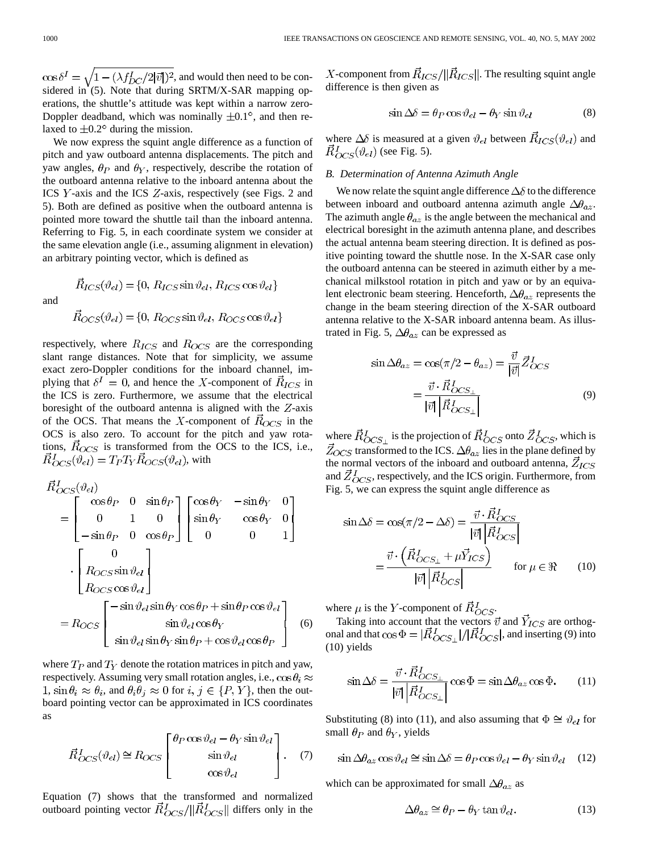$\cos \delta^I = \sqrt{1 - (\lambda f_{DC}^I/2|\vec{v}|)^2}$ , and would then need to be considered in (5). Note that during SRTM/X-SAR mapping operations, the shuttle's attitude was kept within a narrow zero-Doppler deadband, which was nominally  $\pm 0.1^\circ$ , and then relaxed to  $\pm 0.2^{\circ}$  during the mission.

We now express the squint angle difference as a function of pitch and yaw outboard antenna displacements. The pitch and yaw angles,  $\theta_P$  and  $\theta_Y$ , respectively, describe the rotation of the outboard antenna relative to the inboard antenna about the ICS  $Y$ -axis and the ICS  $Z$ -axis, respectively (see Figs. 2 and 5). Both are defined as positive when the outboard antenna is pointed more toward the shuttle tail than the inboard antenna. Referring to Fig. 5, in each coordinate system we consider at the same elevation angle (i.e., assuming alignment in elevation) an arbitrary pointing vector, which is defined as

$$
\vec{R}_{ICS}(\vartheta_{el}) = \{0, R_{ICS} \sin \vartheta_{el}, R_{ICS} \cos \vartheta_{el}\}
$$
  
and  

$$
\vec{R}_{OCS}(\vartheta_{el}) = \{0, R_{OCS} \sin \vartheta_{el}, R_{OCS} \cos \vartheta_{el}\}
$$

respectively, where  $R_{ICS}$  and  $R_{OCS}$  are the corresponding slant range distances. Note that for simplicity, we assume exact zero-Doppler conditions for the inboard channel, implying that  $\delta^I = 0$ , and hence the X-component of  $R_{ICS}$  in the ICS is zero. Furthermore, we assume that the electrical boresight of the outboard antenna is aligned with the  $Z$ -axis of the OCS. That means the X-component of  $R<sub>OCS</sub>$  in the OCS is also zero. To account for the pitch and yaw rotations,  $R_{OCS}$  is transformed from the OCS to the ICS, i.e.,  $R_{OCS}^I(\vartheta_{el}) = T_P T_Y R_{OCS}(\vartheta_{el})$ , with

$$
\vec{R}_{OCS}^{I}(\vartheta_{el})
$$
\n
$$
= \begin{bmatrix}\n\cos \theta_{P} & 0 & \sin \theta_{P} \\
0 & 1 & 0 \\
-\sin \theta_{P} & 0 & \cos \theta_{P}\n\end{bmatrix}\n\begin{bmatrix}\n\cos \theta_{Y} & -\sin \theta_{Y} & 0 \\
\sin \theta_{Y} & \cos \theta_{Y} & 0 \\
0 & 0 & 1\n\end{bmatrix}
$$
\n
$$
\cdot \begin{bmatrix}\n0 \\
R_{OCS} \sin \vartheta_{el} \\
R_{OCS} \cos \vartheta_{el}\n\end{bmatrix}
$$
\n
$$
= R_{OCS} \begin{bmatrix}\n-\sin \vartheta_{el} \sin \theta_{Y} \cos \theta_{P} + \sin \theta_{P} \cos \vartheta_{el} \\
\sin \vartheta_{el} \cos \theta_{Y} & \sin \theta_{P} + \cos \vartheta_{el} \cos \theta_{P}\n\end{bmatrix}
$$
\n(6)

where  $T_P$  and  $T_Y$  denote the rotation matrices in pitch and yaw, respectively. Assuming very small rotation angles, i.e.,  $\cos \theta_i \approx$  $1, \sin \theta_i \approx \theta_i$ , and  $\theta_i \theta_j \approx 0$  for  $i, j \in \{P, Y\}$ , then the outboard pointing vector can be approximated in ICS coordinates as

$$
\vec{R}_{OCS}^I(\vartheta_{el}) \cong R_{OCS} \begin{bmatrix} \theta_P \cos \vartheta_{el} - \theta_Y \sin \vartheta_{el} \\ \sin \vartheta_{el} \\ \cos \vartheta_{el} \end{bmatrix} . \quad (7)
$$

Equation (7) shows that the transformed and normalized outboard pointing vector  $\vec{R}_{OCS}^I/||\vec{R}_{OCS}^I||$  differs only in the X-component from  $\vec{R}_{ICS}/||\vec{R}_{ICS}||$ . The resulting squint angle difference is then given as

$$
\sin \Delta \delta = \theta_P \cos \vartheta_{el} - \theta_Y \sin \vartheta_{el} \tag{8}
$$

where  $\Delta\delta$  is measured at a given  $\vartheta_{el}$  between  $\vec{R}_{ICS}(\vartheta_{el})$  and  $\vec{R}_{OCS}^I(\vartheta_{el})$  (see Fig. 5).

## *B. Determination of Antenna Azimuth Angle*

We now relate the squint angle difference  $\Delta\delta$  to the difference between inboard and outboard antenna azimuth angle  $\Delta\theta_{az}$ . The azimuth angle  $\theta_{az}$  is the angle between the mechanical and electrical boresight in the azimuth antenna plane, and describes the actual antenna beam steering direction. It is defined as positive pointing toward the shuttle nose. In the X-SAR case only the outboard antenna can be steered in azimuth either by a mechanical milkstool rotation in pitch and yaw or by an equivalent electronic beam steering. Henceforth,  $\Delta\theta_{az}$  represents the change in the beam steering direction of the X-SAR outboard antenna relative to the X-SAR inboard antenna beam. As illustrated in Fig. 5,  $\Delta\theta_{az}$  can be expressed as

$$
\sin \Delta \theta_{az} = \cos(\pi/2 - \theta_{az}) = \frac{\vec{v}}{|\vec{v}|} \vec{Z}_{OCS}^I
$$

$$
= \frac{\vec{v} \cdot \vec{R}_{OCS}^I}{|\vec{v}| |\vec{R}_{OCS}^I|}
$$
(9)

where  $\vec{R}_{OCS_{\perp}}^I$  is the projection of  $\vec{R}_{OCS}^I$  onto  $\vec{Z}_{OCS}^I$ , which is  $\bar{Z}_{OCS}$  transformed to the ICS.  $\Delta\theta_{az}$  lies in the plane defined by the normal vectors of the inboard and outboard antenna,  $\bar{Z}_{ICS}$ and  $\bar{Z}_{OCS}^{I}$ , respectively, and the ICS origin. Furthermore, from Fig. 5, we can express the squint angle difference as

$$
\sin \Delta \delta = \cos(\pi/2 - \Delta \delta) = \frac{\vec{v} \cdot \vec{R}_{OCS}^I}{|\vec{v}| |\vec{R}_{OCS}^I|}
$$

$$
= \frac{\vec{v} \cdot (\vec{R}_{OCS_{\perp}}^I + \mu \vec{Y}_{ICS})}{|\vec{v}| |\vec{R}_{OCS}^I|} \quad \text{for } \mu \in \Re \qquad (10)
$$

where  $\mu$  is the Y-component of  $\vec{R}^I_{OCS}$ .

Taking into account that the vectors  $\vec{v}$  and  $\vec{Y}_{ICS}$  are orthogonal and that  $\cos \Phi = |\vec{R}_{OCS}^I|/|\vec{R}_{OCS}^I|$ , and inserting (9) into (10) yields

$$
\sin \Delta \delta = \frac{\vec{v} \cdot \vec{R} \cdot C \cdot \vec{S}}{|\vec{v}| |\vec{R} \cdot C \cdot C \cdot \vec{S}|} \cos \Phi = \sin \Delta \theta_{az} \cos \Phi. \tag{11}
$$

Substituting (8) into (11), and also assuming that  $\Phi \cong \vartheta_{el}$  for small  $\theta_P$  and  $\theta_Y$ , yields

$$
\sin \Delta \theta_{az} \cos \vartheta_{el} \cong \sin \Delta \delta = \theta_P \cos \vartheta_{el} - \theta_Y \sin \vartheta_{el} \quad (12)
$$

which can be approximated for small  $\Delta\theta_{az}$  as

$$
\Delta \theta_{az} \cong \theta_P - \theta_Y \tan \vartheta_{el}. \tag{13}
$$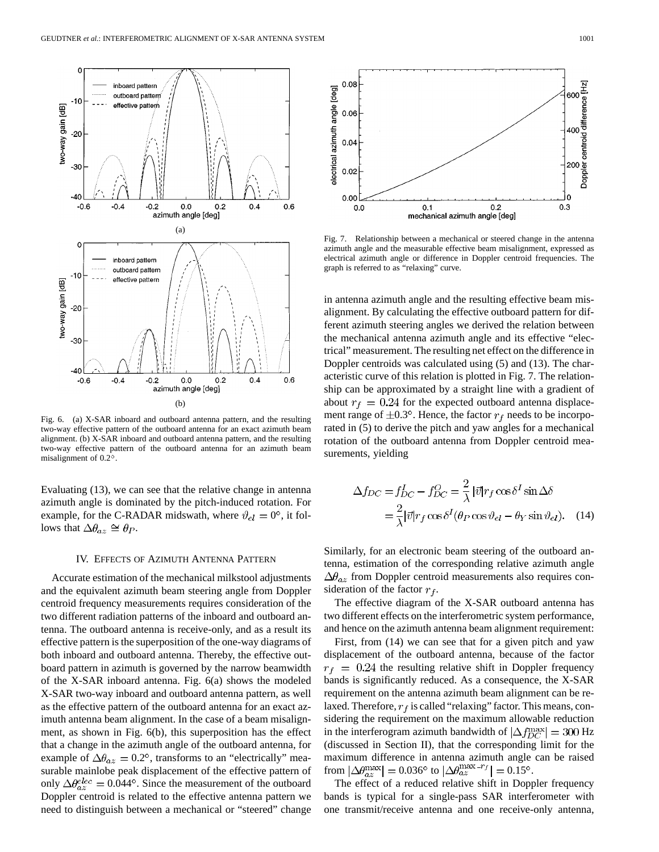

Fig. 6. (a) X-SAR inboard and outboard antenna pattern, and the resulting two-way effective pattern of the outboard antenna for an exact azimuth beam alignment. (b) X-SAR inboard and outboard antenna pattern, and the resulting two-way effective pattern of the outboard antenna for an azimuth beam misalignment of  $0.2^\circ$ .

Evaluating (13), we can see that the relative change in antenna azimuth angle is dominated by the pitch-induced rotation. For example, for the C-RADAR midswath, where  $\vartheta_{el} = 0^{\circ}$ , it follows that  $\Delta \theta_{az} \cong \theta_P$ .

#### IV. EFFECTS OF AZIMUTH ANTENNA PATTERN

Accurate estimation of the mechanical milkstool adjustments and the equivalent azimuth beam steering angle from Doppler centroid frequency measurements requires consideration of the two different radiation patterns of the inboard and outboard antenna. The outboard antenna is receive-only, and as a result its effective pattern is the superposition of the one-way diagrams of both inboard and outboard antenna. Thereby, the effective outboard pattern in azimuth is governed by the narrow beamwidth of the X-SAR inboard antenna. Fig. 6(a) shows the modeled X-SAR two-way inboard and outboard antenna pattern, as well as the effective pattern of the outboard antenna for an exact azimuth antenna beam alignment. In the case of a beam misalignment, as shown in Fig. 6(b), this superposition has the effect that a change in the azimuth angle of the outboard antenna, for example of  $\Delta \theta_{az} = 0.2^{\circ}$ , transforms to an "electrically" measurable mainlobe peak displacement of the effective pattern of only  $\Delta \theta_{az}^{elec} = 0.044^{\circ}$ . Since the measurement of the outboard Doppler centroid is related to the effective antenna pattern we need to distinguish between a mechanical or "steered" change



Fig. 7. Relationship between a mechanical or steered change in the antenna azimuth angle and the measurable effective beam misalignment, expressed as electrical azimuth angle or difference in Doppler centroid frequencies. The graph is referred to as "relaxing" curve.

in antenna azimuth angle and the resulting effective beam misalignment. By calculating the effective outboard pattern for different azimuth steering angles we derived the relation between the mechanical antenna azimuth angle and its effective "electrical" measurement. The resulting net effect on the difference in Doppler centroids was calculated using (5) and (13). The characteristic curve of this relation is plotted in Fig. 7. The relationship can be approximated by a straight line with a gradient of about  $r_f = 0.24$  for the expected outboard antenna displacement range of  $\pm 0.3^\circ$ . Hence, the factor  $r_f$  needs to be incorporated in (5) to derive the pitch and yaw angles for a mechanical rotation of the outboard antenna from Doppler centroid measurements, yielding

$$
\Delta f_{DC} = f_{DC}^I - f_{DC}^O = \frac{2}{\lambda} |\vec{v}| r_f \cos \delta^I \sin \Delta \delta
$$

$$
= \frac{2}{\lambda} |\vec{v}| r_f \cos \delta^I (\theta_P \cos \vartheta_{el} - \theta_Y \sin \vartheta_{el}). \quad (14)
$$

Similarly, for an electronic beam steering of the outboard antenna, estimation of the corresponding relative azimuth angle  $\Delta\theta_{az}$  from Doppler centroid measurements also requires consideration of the factor  $r_f$ .

The effective diagram of the X-SAR outboard antenna has two different effects on the interferometric system performance, and hence on the azimuth antenna beam alignment requirement:

First, from (14) we can see that for a given pitch and yaw displacement of the outboard antenna, because of the factor  $r_f = 0.24$  the resulting relative shift in Doppler frequency bands is significantly reduced. As a consequence, the X-SAR requirement on the antenna azimuth beam alignment can be relaxed. Therefore,  $r_f$  is called "relaxing" factor. This means, considering the requirement on the maximum allowable reduction in the interferogram azimuth bandwidth of  $|\Delta f_{DC}^{\max}| = 300$  Hz (discussed in Section II), that the corresponding limit for the maximum difference in antenna azimuth angle can be raised from  $|\Delta \theta_{az}^{\text{max}}| = 0.036^{\circ}$  to  $|\Delta \theta_{az}^{\text{max}}|^{2} = 0.15^{\circ}$ .

The effect of a reduced relative shift in Doppler frequency bands is typical for a single-pass SAR interferometer with one transmit/receive antenna and one receive-only antenna,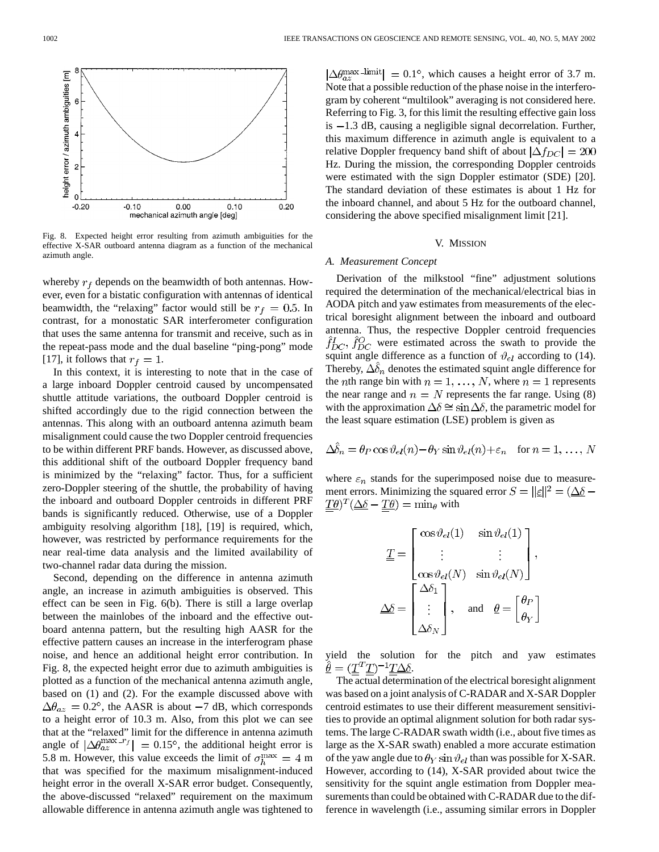

Fig. 8. Expected height error resulting from azimuth ambiguities for the effective X-SAR outboard antenna diagram as a function of the mechanical azimuth angle.

whereby  $r_f$  depends on the beamwidth of both antennas. However, even for a bistatic configuration with antennas of identical beamwidth, the "relaxing" factor would still be  $r_f = 0.5$ . In contrast, for a monostatic SAR interferometer configuration that uses the same antenna for transmit and receive, such as in the repeat-pass mode and the dual baseline "ping-pong" mode [17], it follows that  $r_f = 1$ .

In this context, it is interesting to note that in the case of a large inboard Doppler centroid caused by uncompensated shuttle attitude variations, the outboard Doppler centroid is shifted accordingly due to the rigid connection between the antennas. This along with an outboard antenna azimuth beam misalignment could cause the two Doppler centroid frequencies to be within different PRF bands. However, as discussed above, this additional shift of the outboard Doppler frequency band is minimized by the "relaxing" factor. Thus, for a sufficient zero-Doppler steering of the shuttle, the probability of having the inboard and outboard Doppler centroids in different PRF bands is significantly reduced. Otherwise, use of a Doppler ambiguity resolving algorithm [18], [19] is required, which, however, was restricted by performance requirements for the near real-time data analysis and the limited availability of two-channel radar data during the mission.

Second, depending on the difference in antenna azimuth angle, an increase in azimuth ambiguities is observed. This effect can be seen in Fig. 6(b). There is still a large overlap between the mainlobes of the inboard and the effective outboard antenna pattern, but the resulting high AASR for the effective pattern causes an increase in the interferogram phase noise, and hence an additional height error contribution. In Fig. 8, the expected height error due to azimuth ambiguities is plotted as a function of the mechanical antenna azimuth angle, based on (1) and (2). For the example discussed above with  $\Delta\theta_{az} = 0.2^{\circ}$ , the AASR is about -7 dB, which corresponds to a height error of 10.3 m. Also, from this plot we can see that at the "relaxed" limit for the difference in antenna azimuth angle of  $\left|\Delta\theta_{az}^{\max-r_f}\right| = 0.15^\circ$ , the additional height error is 5.8 m. However, this value exceeds the limit of  $\sigma_h^{\max} = 4$  m that was specified for the maximum misalignment-induced height error in the overall X-SAR error budget. Consequently, the above-discussed "relaxed" requirement on the maximum allowable difference in antenna azimuth angle was tightened to

 $\vert \Delta \theta_{az}^{\text{max-limit}} \vert = 0.1^{\circ}$ , which causes a height error of 3.7 m. Note that a possible reduction of the phase noise in the interferogram by coherent "multilook" averaging is not considered here. Referring to Fig. 3, for this limit the resulting effective gain loss is  $-1.3$  dB, causing a negligible signal decorrelation. Further, this maximum difference in azimuth angle is equivalent to a relative Doppler frequency band shift of about  $|\Delta f_{DC}| = 200$ Hz. During the mission, the corresponding Doppler centroids were estimated with the sign Doppler estimator (SDE) [20]. The standard deviation of these estimates is about 1 Hz for the inboard channel, and about 5 Hz for the outboard channel, considering the above specified misalignment limit [21].

#### V. MISSION

## *A. Measurement Concept*

Derivation of the milkstool "fine" adjustment solutions required the determination of the mechanical/electrical bias in AODA pitch and yaw estimates from measurements of the electrical boresight alignment between the inboard and outboard antenna. Thus, the respective Doppler centroid frequencies  $f_{DC}^{I}$ ,  $f_{DC}^{O}$  were estimated across the swath to provide the squint angle difference as a function of  $\vartheta_{el}$  according to (14). Thereby,  $\Delta \hat{\delta}_n$  denotes the estimated squint angle difference for the *n*th range bin with  $n = 1, ..., N$ , where  $n = 1$  represents the near range and  $n = N$  represents the far range. Using (8) with the approximation  $\Delta \delta \cong \sin \Delta \delta$ , the parametric model for the least square estimation (LSE) problem is given as

$$
\Delta \hat{\delta}_n = \theta_P \cos \vartheta_{el}(n) - \theta_Y \sin \vartheta_{el}(n) + \varepsilon_n \quad \text{for } n = 1, ..., N
$$

where  $\varepsilon_n$  stands for the superimposed noise due to measurement errors. Minimizing the squared error  $S = ||\underline{\varepsilon}||^2 = (\underline{\Delta}\delta - \underline{\Delta}\underline{\delta})$  $\underline{T}\theta$ <sup>T</sup> $(\underline{\Delta}\delta - \underline{T}\theta)$  = min<sub> $\theta$ </sub> with

$$
\underline{\underline{T}} = \begin{bmatrix} \cos \vartheta_{el}(1) & \sin \vartheta_{el}(1) \\ \vdots & \vdots \\ \cos \vartheta_{el}(N) & \sin \vartheta_{el}(N) \end{bmatrix},
$$

$$
\underline{\Delta \delta} = \begin{bmatrix} \Delta \delta_1 \\ \vdots \\ \Delta \delta_N \end{bmatrix}, \text{ and } \underline{\theta} = \begin{bmatrix} \theta_P \\ \theta_Y \end{bmatrix}
$$

yield the solution for the pitch and yaw estimates  $\hat{\underline{\theta}} = (\underline{T}^T \underline{T})^{-1} \underline{T} \Delta \underline{\delta}.$ 

The actual determination of the electrical boresight alignment was based on a joint analysis of C-RADAR and X-SAR Doppler centroid estimates to use their different measurement sensitivities to provide an optimal alignment solution for both radar systems. The large C-RADAR swath width (i.e., about five times as large as the X-SAR swath) enabled a more accurate estimation of the yaw angle due to  $\theta_Y \sin \vartheta_{el}$  than was possible for X-SAR. However, according to (14), X-SAR provided about twice the sensitivity for the squint angle estimation from Doppler measurements than could be obtained with C-RADAR due to the difference in wavelength (i.e., assuming similar errors in Doppler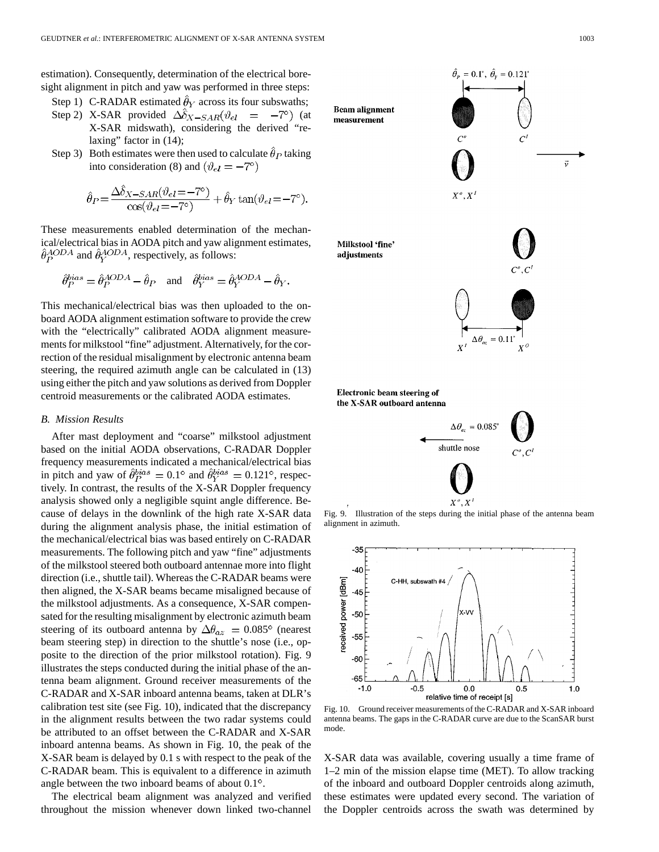estimation). Consequently, determination of the electrical boresight alignment in pitch and yaw was performed in three steps:

- Step 1) C-RADAR estimated  $\hat{\theta}_Y$  across its four subswaths;
- Step 2) X-SAR provided  $\Delta \hat{\delta}_{X-SAR}(\vartheta_{el} = -7^{\circ})$  (at X-SAR midswath), considering the derived "relaxing" factor in  $(14)$ ;
- Step 3) Both estimates were then used to calculate  $\hat{\theta}_P$  taking into consideration (8) and  $(\vartheta_{el} = -7^{\circ})$

$$
\hat{\theta}_P = \frac{\Delta \hat{\delta}_{X-SAR}(\vartheta_{el} = -7^\circ)}{\cos(\vartheta_{el} = -7^\circ)} + \hat{\theta}_Y \tan(\vartheta_{el} = -7^\circ).
$$

These measurements enabled determination of the mechanical/electrical bias in AODA pitch and yaw alignment estimates,  $\hat{\theta}_P^{AODA}$  and  $\hat{\theta}_Y^{AODA}$ , respectively, as follows:

$$
\hat{\theta}_P^{bias} = \hat{\theta}_P^{AODA} - \hat{\theta}_P \quad \text{and} \quad \hat{\theta}_Y^{bias} = \hat{\theta}_Y^{AODA} - \hat{\theta}_Y.
$$

This mechanical/electrical bias was then uploaded to the onboard AODA alignment estimation software to provide the crew with the "electrically" calibrated AODA alignment measurements for milkstool "fine" adjustment. Alternatively, for the correction of the residual misalignment by electronic antenna beam steering, the required azimuth angle can be calculated in (13) using either the pitch and yaw solutions as derived from Doppler centroid measurements or the calibrated AODA estimates.

## *B. Mission Results*

After mast deployment and "coarse" milkstool adjustment based on the initial AODA observations, C-RADAR Doppler frequency measurements indicated a mechanical/electrical bias in pitch and yaw of  $\hat{\theta}_P^{bias} = 0.1^{\circ}$  and  $\hat{\theta}_Y^{bias} = 0.121^{\circ}$ , respectively. In contrast, the results of the X-SAR Doppler frequency analysis showed only a negligible squint angle difference. Because of delays in the downlink of the high rate X-SAR data during the alignment analysis phase, the initial estimation of the mechanical/electrical bias was based entirely on C-RADAR measurements. The following pitch and yaw "fine" adjustments of the milkstool steered both outboard antennae more into flight direction (i.e., shuttle tail). Whereas the C-RADAR beams were then aligned, the X-SAR beams became misaligned because of the milkstool adjustments. As a consequence, X-SAR compensated for the resulting misalignment by electronic azimuth beam steering of its outboard antenna by  $\Delta\theta_{az} = 0.085^{\circ}$  (nearest beam steering step) in direction to the shuttle's nose (i.e., opposite to the direction of the prior milkstool rotation). Fig. 9 illustrates the steps conducted during the initial phase of the antenna beam alignment. Ground receiver measurements of the C-RADAR and X-SAR inboard antenna beams, taken at DLR's calibration test site (see Fig. 10), indicated that the discrepancy in the alignment results between the two radar systems could be attributed to an offset between the C-RADAR and X-SAR inboard antenna beams. As shown in Fig. 10, the peak of the X-SAR beam is delayed by 0.1 s with respect to the peak of the C-RADAR beam. This is equivalent to a difference in azimuth angle between the two inboard beams of about  $0.1^\circ$ .

The electrical beam alignment was analyzed and verified throughout the mission whenever down linked two-channel



Fig. 9. Illustration of the steps during the initial phase of the antenna beam alignment in azimuth.



Fig. 10. Ground receiver measurements of the C-RADAR and X-SAR inboard antenna beams. The gaps in the C-RADAR curve are due to the ScanSAR burst mode.

X-SAR data was available, covering usually a time frame of 1–2 min of the mission elapse time (MET). To allow tracking of the inboard and outboard Doppler centroids along azimuth, these estimates were updated every second. The variation of the Doppler centroids across the swath was determined by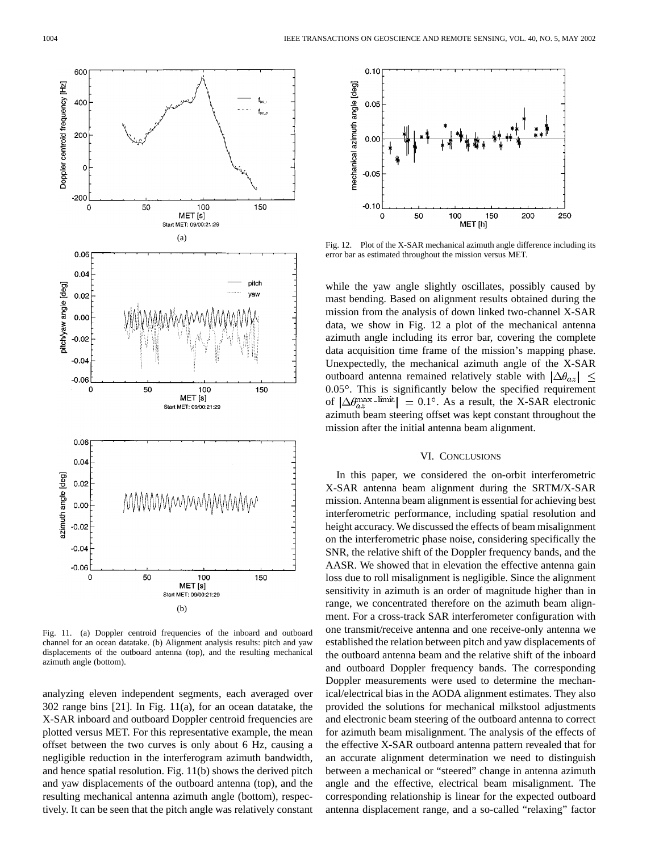

Fig. 11. (a) Doppler centroid frequencies of the inboard and outboard channel for an ocean datatake. (b) Alignment analysis results: pitch and yaw displacements of the outboard antenna (top), and the resulting mechanical azimuth angle (bottom).

analyzing eleven independent segments, each averaged over 302 range bins [21]. In Fig. 11(a), for an ocean datatake, the X-SAR inboard and outboard Doppler centroid frequencies are plotted versus MET. For this representative example, the mean offset between the two curves is only about 6 Hz, causing a negligible reduction in the interferogram azimuth bandwidth, and hence spatial resolution. Fig. 11(b) shows the derived pitch and yaw displacements of the outboard antenna (top), and the resulting mechanical antenna azimuth angle (bottom), respectively. It can be seen that the pitch angle was relatively constant



Fig. 12. Plot of the X-SAR mechanical azimuth angle difference including its error bar as estimated throughout the mission versus MET.

while the yaw angle slightly oscillates, possibly caused by mast bending. Based on alignment results obtained during the mission from the analysis of down linked two-channel X-SAR data, we show in Fig. 12 a plot of the mechanical antenna azimuth angle including its error bar, covering the complete data acquisition time frame of the mission's mapping phase. Unexpectedly, the mechanical azimuth angle of the X-SAR outboard antenna remained relatively stable with  $|\Delta \theta_{az}| \leq$  $0.05^\circ$ . This is significantly below the specified requirement of  $|\Delta\theta_{az}^{\text{max-limit}}| = 0.1^{\circ}$ . As a result, the X-SAR electronic azimuth beam steering offset was kept constant throughout the mission after the initial antenna beam alignment.

## VI. CONCLUSIONS

In this paper, we considered the on-orbit interferometric X-SAR antenna beam alignment during the SRTM/X-SAR mission. Antenna beam alignment is essential for achieving best interferometric performance, including spatial resolution and height accuracy. We discussed the effects of beam misalignment on the interferometric phase noise, considering specifically the SNR, the relative shift of the Doppler frequency bands, and the AASR. We showed that in elevation the effective antenna gain loss due to roll misalignment is negligible. Since the alignment sensitivity in azimuth is an order of magnitude higher than in range, we concentrated therefore on the azimuth beam alignment. For a cross-track SAR interferometer configuration with one transmit/receive antenna and one receive-only antenna we established the relation between pitch and yaw displacements of the outboard antenna beam and the relative shift of the inboard and outboard Doppler frequency bands. The corresponding Doppler measurements were used to determine the mechanical/electrical bias in the AODA alignment estimates. They also provided the solutions for mechanical milkstool adjustments and electronic beam steering of the outboard antenna to correct for azimuth beam misalignment. The analysis of the effects of the effective X-SAR outboard antenna pattern revealed that for an accurate alignment determination we need to distinguish between a mechanical or "steered" change in antenna azimuth angle and the effective, electrical beam misalignment. The corresponding relationship is linear for the expected outboard antenna displacement range, and a so-called "relaxing" factor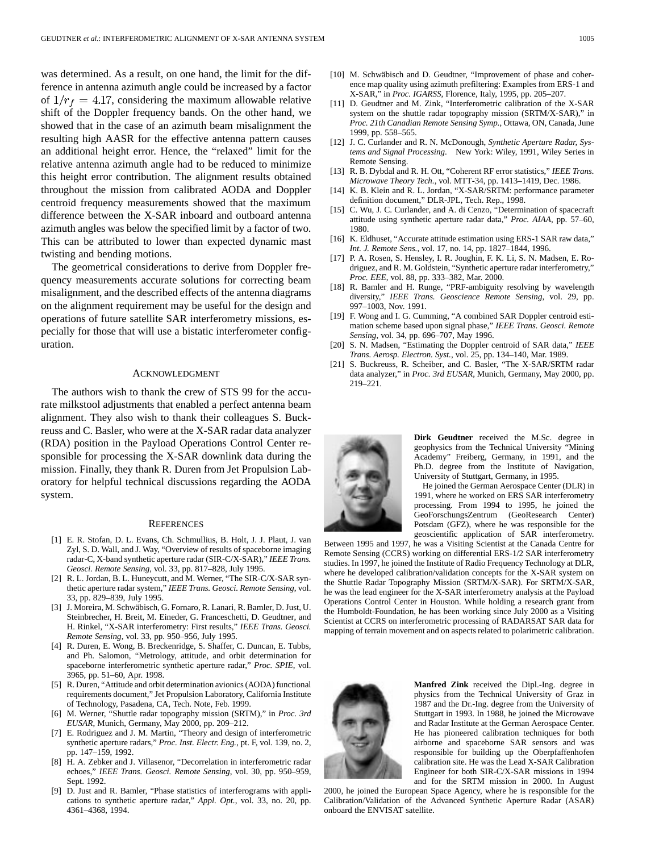was determined. As a result, on one hand, the limit for the difference in antenna azimuth angle could be increased by a factor of  $1/r_f = 4.17$ , considering the maximum allowable relative shift of the Doppler frequency bands. On the other hand, we showed that in the case of an azimuth beam misalignment the resulting high AASR for the effective antenna pattern causes an additional height error. Hence, the "relaxed" limit for the relative antenna azimuth angle had to be reduced to minimize this height error contribution. The alignment results obtained throughout the mission from calibrated AODA and Doppler centroid frequency measurements showed that the maximum difference between the X-SAR inboard and outboard antenna azimuth angles was below the specified limit by a factor of two. This can be attributed to lower than expected dynamic mast twisting and bending motions.

The geometrical considerations to derive from Doppler frequency measurements accurate solutions for correcting beam misalignment, and the described effects of the antenna diagrams on the alignment requirement may be useful for the design and operations of future satellite SAR interferometry missions, especially for those that will use a bistatic interferometer configuration.

#### ACKNOWLEDGMENT

The authors wish to thank the crew of STS 99 for the accurate milkstool adjustments that enabled a perfect antenna beam alignment. They also wish to thank their colleagues S. Buckreuss and C. Basler, who were at the X-SAR radar data analyzer (RDA) position in the Payload Operations Control Center responsible for processing the X-SAR downlink data during the mission. Finally, they thank R. Duren from Jet Propulsion Laboratory for helpful technical discussions regarding the AODA system.

#### **REFERENCES**

- [1] E. R. Stofan, D. L. Evans, Ch. Schmullius, B. Holt, J. J. Plaut, J. van Zyl, S. D. Wall, and J. Way, "Overview of results of spaceborne imaging radar-C, X-band synthetic aperture radar (SIR-C/X-SAR)," *IEEE Trans. Geosci. Remote Sensing*, vol. 33, pp. 817–828, July 1995.
- [2] R. L. Jordan, B. L. Huneycutt, and M. Werner, "The SIR-C/X-SAR synthetic aperture radar system," *IEEE Trans. Geosci. Remote Sensing*, vol. 33, pp. 829–839, July 1995.
- [3] J. Moreira, M. Schwäbisch, G. Fornaro, R. Lanari, R. Bamler, D. Just, U. Steinbrecher, H. Breit, M. Eineder, G. Franceschetti, D. Geudtner, and H. Rinkel, "X-SAR interferometry: First results," *IEEE Trans. Geosci. Remote Sensing*, vol. 33, pp. 950–956, July 1995.
- [4] R. Duren, E. Wong, B. Breckenridge, S. Shaffer, C. Duncan, E. Tubbs, and Ph. Salomon, "Metrology, attitude, and orbit determination for spaceborne interferometric synthetic aperture radar," *Proc. SPIE*, vol. 3965, pp. 51–60, Apr. 1998.
- [5] R. Duren, "Attitude and orbit determination avionics (AODA) functional requirements document," Jet Propulsion Laboratory, California Institute of Technology, Pasadena, CA, Tech. Note, Feb. 1999.
- [6] M. Werner, "Shuttle radar topography mission (SRTM)," in *Proc. 3rd EUSAR*, Munich, Germany, May 2000, pp. 209–212.
- [7] E. Rodriguez and J. M. Martin, "Theory and design of interferometric synthetic aperture radars," *Proc. Inst. Electr. Eng.*, pt. F, vol. 139, no. 2, pp. 147–159, 1992.
- [8] H. A. Zebker and J. Villasenor, "Decorrelation in interferometric radar echoes," *IEEE Trans. Geosci. Remote Sensing*, vol. 30, pp. 950–959, Sept. 1992.
- D. Just and R. Bamler, "Phase statistics of interferograms with applications to synthetic aperture radar," *Appl. Opt.*, vol. 33, no. 20, pp. 4361–4368, 1994.
- [10] M. Schwäbisch and D. Geudtner, "Improvement of phase and coherence map quality using azimuth prefiltering: Examples from ERS-1 and X-SAR," in *Proc. IGARSS*, Florence, Italy, 1995, pp. 205–207.
- [11] D. Geudtner and M. Zink, "Interferometric calibration of the X-SAR system on the shuttle radar topography mission (SRTM/X-SAR)," in *Proc. 21th Canadian Remote Sensing Symp.*, Ottawa, ON, Canada, June 1999, pp. 558–565.
- [12] J. C. Curlander and R. N. McDonough, *Synthetic Aperture Radar, Systems and Signal Processing*. New York: Wiley, 1991, Wiley Series in Remote Sensing.
- [13] R. B. Dybdal and R. H. Ott, "Coherent RF error statistics," *IEEE Trans. Microwave Theory Tech.*, vol. MTT-34, pp. 1413–1419, Dec. 1986.
- [14] K. B. Klein and R. L. Jordan, "X-SAR/SRTM: performance parameter definition document," DLR-JPL, Tech. Rep., 1998.
- [15] C. Wu, J. C. Curlander, and A. di Cenzo, "Determination of spacecraft attitude using synthetic aperture radar data," *Proc. AIAA*, pp. 57–60, 1980.
- [16] K. Eldhuset, "Accurate attitude estimation using ERS-1 SAR raw data," *Int. J. Remote Sens.*, vol. 17, no. 14, pp. 1827–1844, 1996.
- [17] P. A. Rosen, S. Hensley, I. R. Joughin, F. K. Li, S. N. Madsen, E. Rodriguez, and R. M. Goldstein, "Synthetic aperture radar interferometry," *Proc. EEE*, vol. 88, pp. 333–382, Mar. 2000.
- [18] R. Bamler and H. Runge, "PRF-ambiguity resolving by wavelength diversity," *IEEE Trans. Geoscience Remote Sensing*, vol. 29, pp. 997–1003, Nov. 1991.
- [19] F. Wong and I. G. Cumming, "A combined SAR Doppler centroid estimation scheme based upon signal phase," *IEEE Trans. Geosci. Remote Sensing*, vol. 34, pp. 696–707, May 1996.
- [20] S. N. Madsen, "Estimating the Doppler centroid of SAR data," *IEEE Trans. Aerosp. Electron. Syst.*, vol. 25, pp. 134–140, Mar. 1989.
- [21] S. Buckreuss, R. Scheiber, and C. Basler, "The X-SAR/SRTM radar data analyzer," in *Proc. 3rd EUSAR*, Munich, Germany, May 2000, pp. 219–221.



**Dirk Geudtner** received the M.Sc. degree in geophysics from the Technical University "Mining Academy" Freiberg, Germany, in 1991, and the Ph.D. degree from the Institute of Navigation, University of Stuttgart, Germany, in 1995.

He joined the German Aerospace Center (DLR) in 1991, where he worked on ERS SAR interferometry processing. From 1994 to 1995, he joined the GeoForschungsZentrum (GeoResearch Center) Potsdam (GFZ), where he was responsible for the geoscientific application of SAR interferometry.

Between 1995 and 1997, he was a Visiting Scientist at the Canada Centre for Remote Sensing (CCRS) working on differential ERS-1/2 SAR interferometry studies. In 1997, he joined the Institute of Radio Frequency Technology at DLR, where he developed calibration/validation concepts for the X-SAR system on the Shuttle Radar Topography Mission (SRTM/X-SAR). For SRTM/X-SAR, he was the lead engineer for the X-SAR interferometry analysis at the Payload Operations Control Center in Houston. While holding a research grant from the Humboldt-Foundation, he has been working since July 2000 as a Visiting Scientist at CCRS on interferometric processing of RADARSAT SAR data for mapping of terrain movement and on aspects related to polarimetric calibration.



**Manfred Zink** received the Dipl.-Ing. degree in physics from the Technical University of Graz in 1987 and the Dr.-Ing. degree from the University of Stuttgart in 1993. In 1988, he joined the Microwave and Radar Institute at the German Aerospace Center. He has pioneered calibration techniques for both airborne and spaceborne SAR sensors and was responsible for building up the Oberpfaffenhofen calibration site. He was the Lead X-SAR Calibration Engineer for both SIR-C/X-SAR missions in 1994 and for the SRTM mission in 2000. In August

2000, he joined the European Space Agency, where he is responsible for the Calibration/Validation of the Advanced Synthetic Aperture Radar (ASAR) onboard the ENVISAT satellite.